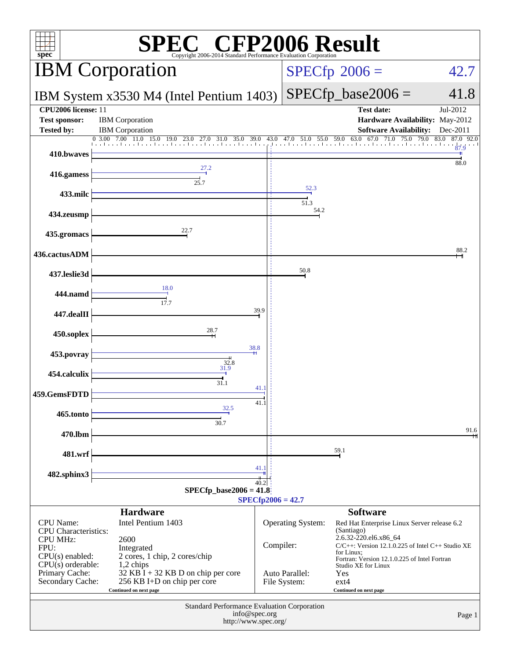| C <sup>®</sup> CFP2006 Result<br>spec®<br>Copyright 2006-2014 Standard Performance Evaluation Corporation |                                                                                                                |                     |                                  |                                                                                                                     |                                             |
|-----------------------------------------------------------------------------------------------------------|----------------------------------------------------------------------------------------------------------------|---------------------|----------------------------------|---------------------------------------------------------------------------------------------------------------------|---------------------------------------------|
| <b>IBM</b> Corporation                                                                                    |                                                                                                                |                     |                                  | $SPECfp^{\circ}2006 =$                                                                                              | 42.7                                        |
|                                                                                                           | IBM System x3530 M4 (Intel Pentium 1403)                                                                       |                     |                                  | $SPECfp\_base2006 =$                                                                                                | 41.8                                        |
| CPU <sub>2006</sub> license: 11<br>Test sponsor:<br><b>Tested by:</b>                                     | <b>IBM</b> Corporation<br><b>IBM</b> Corporation                                                               |                     |                                  | <b>Test date:</b><br>Hardware Availability: May-2012<br><b>Software Availability:</b>                               | Jul-2012<br>Dec-2011                        |
|                                                                                                           | 0 3.00 7.00 11.0<br>$15.0$ $19.0$ $23.0$ $27.0$ $31.0$ $35.0$ $39.0$ $43.0$ $47.0$ $51.0$ $55.0$ $59.0$ $63.0$ |                     | ومعارضه التعاريف والتعبار بتراجع | 67.0<br>$\overline{71.0}$ 75.0                                                                                      | 83.0<br>87.0 92.0<br>79.0<br>$rac{1}{87.9}$ |
| 410.bwaves                                                                                                |                                                                                                                |                     |                                  |                                                                                                                     | 88.0                                        |
| 416.gamess                                                                                                | 25.7                                                                                                           |                     | 52.3                             |                                                                                                                     |                                             |
| 433.milc                                                                                                  |                                                                                                                |                     | 51.3                             |                                                                                                                     |                                             |
| 434.zeusmp                                                                                                |                                                                                                                |                     | 54.2                             |                                                                                                                     |                                             |
| 435.gromacs                                                                                               | 22.7                                                                                                           |                     |                                  |                                                                                                                     |                                             |
| 436.cactusADM                                                                                             |                                                                                                                |                     |                                  |                                                                                                                     | 88.2                                        |
| 437.leslie3d                                                                                              |                                                                                                                |                     | 50.8                             |                                                                                                                     |                                             |
| 444.namd                                                                                                  | 18.0                                                                                                           |                     |                                  |                                                                                                                     |                                             |
| 447.dealII                                                                                                | 17.7                                                                                                           | 39.9                |                                  |                                                                                                                     |                                             |
| 450.soplex                                                                                                | 28.7                                                                                                           |                     |                                  |                                                                                                                     |                                             |
| 453.povray                                                                                                | 38.8                                                                                                           |                     |                                  |                                                                                                                     |                                             |
| 454.calculix                                                                                              | $32.8$<br>31.9                                                                                                 |                     |                                  |                                                                                                                     |                                             |
| 459.GemsFDTD                                                                                              | 31.1                                                                                                           | 41.1                |                                  |                                                                                                                     |                                             |
| 465.tonto                                                                                                 | 32.5                                                                                                           | 41.1                |                                  |                                                                                                                     |                                             |
|                                                                                                           | 30.7                                                                                                           |                     |                                  |                                                                                                                     | 91.6                                        |
| 470.lbm                                                                                                   |                                                                                                                |                     |                                  | 59.1                                                                                                                |                                             |
| 481.wrf                                                                                                   |                                                                                                                | 41.1                |                                  |                                                                                                                     |                                             |
| 482.sphinx3                                                                                               | $SPECfp\_base2006 = 41.8$                                                                                      | 40.2                |                                  |                                                                                                                     |                                             |
|                                                                                                           |                                                                                                                | $SPECfp2006 = 42.7$ |                                  |                                                                                                                     |                                             |
| <b>CPU</b> Name:<br>CPU Characteristics:                                                                  | <b>Hardware</b><br>Intel Pentium 1403                                                                          |                     | Operating System:                | <b>Software</b><br>Red Hat Enterprise Linux Server release 6.2<br>(Santiago)<br>2.6.32-220.el6.x86_64               |                                             |
| <b>CPU MHz:</b><br>FPU:<br>$CPU(s)$ enabled:<br>$CPU(s)$ orderable:                                       | 2600<br>Integrated<br>2 cores, 1 chip, 2 cores/chip<br>1,2 chips                                               | Compiler:           |                                  | $C/C++$ : Version 12.1.0.225 of Intel $C++$ Studio XE<br>for Linux;<br>Fortran: Version 12.1.0.225 of Intel Fortran |                                             |
| Primary Cache:<br>Secondary Cache:                                                                        | $32$ KB I + 32 KB D on chip per core<br>256 KB I+D on chip per core<br>Continued on next page                  |                     | Auto Parallel:<br>File System:   | Studio XE for Linux<br>Yes<br>$ext{4}$<br>Continued on next page                                                    |                                             |
| Standard Performance Evaluation Corporation<br>info@spec.org<br>Page 1<br>http://www.spec.org/            |                                                                                                                |                     |                                  |                                                                                                                     |                                             |
|                                                                                                           |                                                                                                                |                     |                                  |                                                                                                                     |                                             |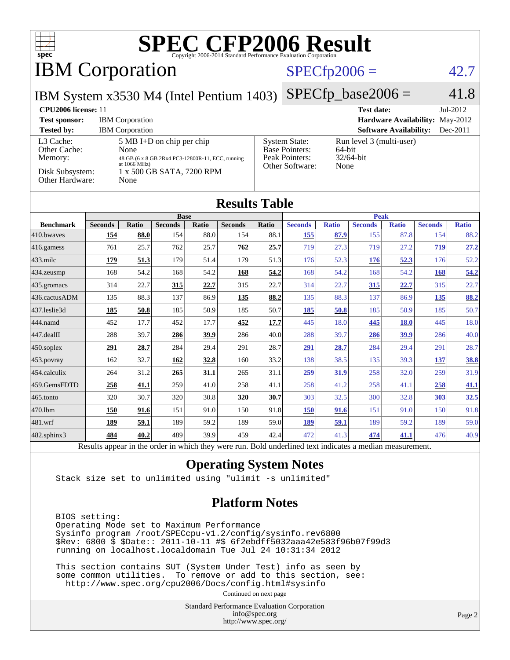

Results appear in the [order in which they were run.](http://www.spec.org/auto/cpu2006/Docs/result-fields.html#RunOrder) Bold underlined text [indicates a median measurement.](http://www.spec.org/auto/cpu2006/Docs/result-fields.html#Median)

#### **[Operating System Notes](http://www.spec.org/auto/cpu2006/Docs/result-fields.html#OperatingSystemNotes)**

Stack size set to unlimited using "ulimit -s unlimited"

#### **[Platform Notes](http://www.spec.org/auto/cpu2006/Docs/result-fields.html#PlatformNotes)**

 BIOS setting: Operating Mode set to Maximum Performance Sysinfo program /root/SPECcpu-v1.2/config/sysinfo.rev6800 \$Rev: 6800 \$ \$Date:: 2011-10-11 #\$ 6f2ebdff5032aaa42e583f96b07f99d3 running on localhost.localdomain Tue Jul 24 10:31:34 2012

 This section contains SUT (System Under Test) info as seen by some common utilities. To remove or add to this section, see: <http://www.spec.org/cpu2006/Docs/config.html#sysinfo>

Continued on next page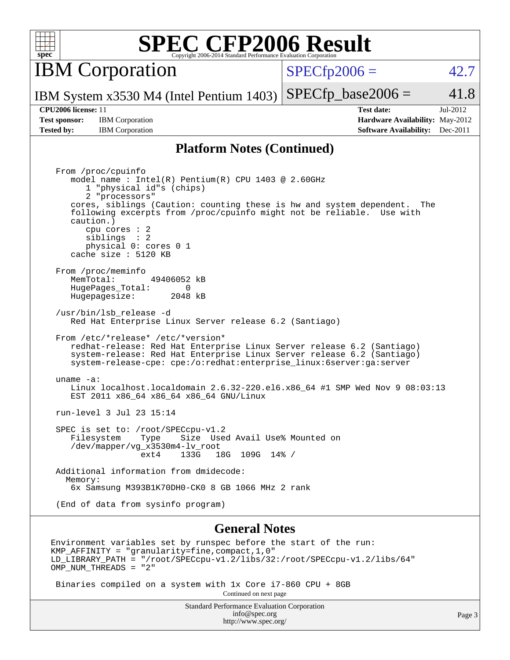| ¢<br>Ņ, | ċ | г |  |
|---------|---|---|--|

IBM Corporation

 $SPECfp2006 = 42.7$  $SPECfp2006 = 42.7$ 

IBM System x3530 M4 (Intel Pentium 1403)  $SPECTp\_base2006 = 41.8$ 

**[Test sponsor:](http://www.spec.org/auto/cpu2006/Docs/result-fields.html#Testsponsor)** IBM Corporation **[Hardware Availability:](http://www.spec.org/auto/cpu2006/Docs/result-fields.html#HardwareAvailability)** May-2012 **[Tested by:](http://www.spec.org/auto/cpu2006/Docs/result-fields.html#Testedby)** IBM Corporation **[Software Availability:](http://www.spec.org/auto/cpu2006/Docs/result-fields.html#SoftwareAvailability)** Dec-2011

**[CPU2006 license:](http://www.spec.org/auto/cpu2006/Docs/result-fields.html#CPU2006license)** 11 **[Test date:](http://www.spec.org/auto/cpu2006/Docs/result-fields.html#Testdate)** Jul-2012

#### **[Platform Notes \(Continued\)](http://www.spec.org/auto/cpu2006/Docs/result-fields.html#PlatformNotes)**

 From /proc/cpuinfo model name : Intel(R) Pentium(R) CPU 1403 @ 2.60GHz 1 "physical id"s (chips) 2 "processors" cores, siblings (Caution: counting these is hw and system dependent. The following excerpts from /proc/cpuinfo might not be reliable. Use with caution.) cpu cores : 2 siblings : 2 physical 0: cores 0 1 cache size : 5120 KB From /proc/meminfo<br>MemTotal: 49406052 kB HugePages\_Total: 0<br>Hugepagesize: 2048 kB Hugepagesize: /usr/bin/lsb\_release -d Red Hat Enterprise Linux Server release 6.2 (Santiago) From /etc/\*release\* /etc/\*version\* redhat-release: Red Hat Enterprise Linux Server release 6.2 (Santiago) system-release: Red Hat Enterprise Linux Server release 6.2 (Santiago) system-release-cpe: cpe:/o:redhat:enterprise\_linux:6server:ga:server uname -a: Linux localhost.localdomain 2.6.32-220.el6.x86\_64 #1 SMP Wed Nov 9 08:03:13 EST 2011 x86\_64 x86\_64 x86\_64 GNU/Linux run-level 3 Jul 23 15:14 SPEC is set to: /root/SPECcpu-v1.2<br>Filesystem Type Size Use Type Size Used Avail Use% Mounted on /dev/mapper/vg\_x3530m4-lv\_root ext4 133G 18G 109G 14% / Additional information from dmidecode: Memory: 6x Samsung M393B1K70DH0-CK0 8 GB 1066 MHz 2 rank (End of data from sysinfo program)

#### **[General Notes](http://www.spec.org/auto/cpu2006/Docs/result-fields.html#GeneralNotes)**

Environment variables set by runspec before the start of the run: KMP\_AFFINITY = "granularity=fine,compact,1,0" LD\_LIBRARY\_PATH = "/root/SPECcpu-v1.2/libs/32:/root/SPECcpu-v1.2/libs/64" OMP NUM THREADS = "2"

Binaries compiled on a system with 1x Core i7-860 CPU + 8GB

Continued on next page

Standard Performance Evaluation Corporation [info@spec.org](mailto:info@spec.org) <http://www.spec.org/>

Page 3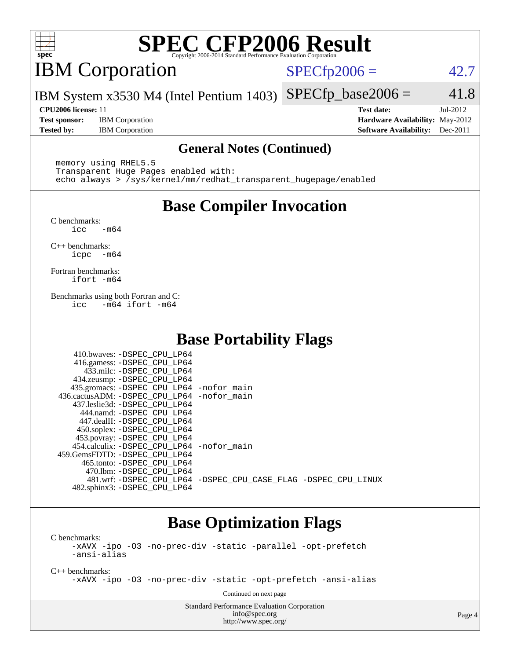

# IBM Corporation

 $SPECfp2006 = 42.7$  $SPECfp2006 = 42.7$ 

IBM System x3530 M4 (Intel Pentium 1403)  $SPECfp\_base2006 = 41.8$ 

**[Test sponsor:](http://www.spec.org/auto/cpu2006/Docs/result-fields.html#Testsponsor)** IBM Corporation **[Hardware Availability:](http://www.spec.org/auto/cpu2006/Docs/result-fields.html#HardwareAvailability)** May-2012 **[Tested by:](http://www.spec.org/auto/cpu2006/Docs/result-fields.html#Testedby)** IBM Corporation **[Software Availability:](http://www.spec.org/auto/cpu2006/Docs/result-fields.html#SoftwareAvailability)** Dec-2011

**[CPU2006 license:](http://www.spec.org/auto/cpu2006/Docs/result-fields.html#CPU2006license)** 11 **[Test date:](http://www.spec.org/auto/cpu2006/Docs/result-fields.html#Testdate)** Jul-2012

#### **[General Notes \(Continued\)](http://www.spec.org/auto/cpu2006/Docs/result-fields.html#GeneralNotes)**

 memory using RHEL5.5 Transparent Huge Pages enabled with: echo always > /sys/kernel/mm/redhat\_transparent\_hugepage/enabled

## **[Base Compiler Invocation](http://www.spec.org/auto/cpu2006/Docs/result-fields.html#BaseCompilerInvocation)**

[C benchmarks](http://www.spec.org/auto/cpu2006/Docs/result-fields.html#Cbenchmarks):  $\text{icc}$   $-\text{m64}$ 

[C++ benchmarks:](http://www.spec.org/auto/cpu2006/Docs/result-fields.html#CXXbenchmarks) [icpc -m64](http://www.spec.org/cpu2006/results/res2012q3/cpu2006-20120806-24049.flags.html#user_CXXbase_intel_icpc_64bit_bedb90c1146cab66620883ef4f41a67e)

[Fortran benchmarks](http://www.spec.org/auto/cpu2006/Docs/result-fields.html#Fortranbenchmarks): [ifort -m64](http://www.spec.org/cpu2006/results/res2012q3/cpu2006-20120806-24049.flags.html#user_FCbase_intel_ifort_64bit_ee9d0fb25645d0210d97eb0527dcc06e)

[Benchmarks using both Fortran and C](http://www.spec.org/auto/cpu2006/Docs/result-fields.html#BenchmarksusingbothFortranandC): [icc -m64](http://www.spec.org/cpu2006/results/res2012q3/cpu2006-20120806-24049.flags.html#user_CC_FCbase_intel_icc_64bit_0b7121f5ab7cfabee23d88897260401c) [ifort -m64](http://www.spec.org/cpu2006/results/res2012q3/cpu2006-20120806-24049.flags.html#user_CC_FCbase_intel_ifort_64bit_ee9d0fb25645d0210d97eb0527dcc06e)

## **[Base Portability Flags](http://www.spec.org/auto/cpu2006/Docs/result-fields.html#BasePortabilityFlags)**

| 410.bwaves: -DSPEC CPU LP64                                    |  |
|----------------------------------------------------------------|--|
| 416.gamess: -DSPEC_CPU_LP64                                    |  |
| 433.milc: -DSPEC CPU LP64                                      |  |
| 434.zeusmp: -DSPEC_CPU_LP64                                    |  |
| 435.gromacs: -DSPEC_CPU_LP64 -nofor_main                       |  |
| 436.cactusADM: -DSPEC CPU LP64 -nofor main                     |  |
| 437.leslie3d: -DSPEC CPU LP64                                  |  |
| 444.namd: -DSPEC CPU LP64                                      |  |
| 447.dealII: -DSPEC CPU LP64                                    |  |
| 450.soplex: -DSPEC_CPU_LP64                                    |  |
| 453.povray: -DSPEC_CPU_LP64                                    |  |
| 454.calculix: - DSPEC CPU LP64 - nofor main                    |  |
| 459.GemsFDTD: - DSPEC_CPU LP64                                 |  |
| 465.tonto: - DSPEC CPU LP64                                    |  |
| 470.1bm: -DSPEC CPU LP64                                       |  |
| 481.wrf: -DSPEC_CPU_LP64 -DSPEC_CPU_CASE_FLAG -DSPEC_CPU_LINUX |  |
| 482.sphinx3: -DSPEC_CPU_LP64                                   |  |

## **[Base Optimization Flags](http://www.spec.org/auto/cpu2006/Docs/result-fields.html#BaseOptimizationFlags)**

[C benchmarks](http://www.spec.org/auto/cpu2006/Docs/result-fields.html#Cbenchmarks):

[-xAVX](http://www.spec.org/cpu2006/results/res2012q3/cpu2006-20120806-24049.flags.html#user_CCbase_f-xAVX) [-ipo](http://www.spec.org/cpu2006/results/res2012q3/cpu2006-20120806-24049.flags.html#user_CCbase_f-ipo) [-O3](http://www.spec.org/cpu2006/results/res2012q3/cpu2006-20120806-24049.flags.html#user_CCbase_f-O3) [-no-prec-div](http://www.spec.org/cpu2006/results/res2012q3/cpu2006-20120806-24049.flags.html#user_CCbase_f-no-prec-div) [-static](http://www.spec.org/cpu2006/results/res2012q3/cpu2006-20120806-24049.flags.html#user_CCbase_f-static) [-parallel](http://www.spec.org/cpu2006/results/res2012q3/cpu2006-20120806-24049.flags.html#user_CCbase_f-parallel) [-opt-prefetch](http://www.spec.org/cpu2006/results/res2012q3/cpu2006-20120806-24049.flags.html#user_CCbase_f-opt-prefetch) [-ansi-alias](http://www.spec.org/cpu2006/results/res2012q3/cpu2006-20120806-24049.flags.html#user_CCbase_f-ansi-alias)

[C++ benchmarks:](http://www.spec.org/auto/cpu2006/Docs/result-fields.html#CXXbenchmarks)

[-xAVX](http://www.spec.org/cpu2006/results/res2012q3/cpu2006-20120806-24049.flags.html#user_CXXbase_f-xAVX) [-ipo](http://www.spec.org/cpu2006/results/res2012q3/cpu2006-20120806-24049.flags.html#user_CXXbase_f-ipo) [-O3](http://www.spec.org/cpu2006/results/res2012q3/cpu2006-20120806-24049.flags.html#user_CXXbase_f-O3) [-no-prec-div](http://www.spec.org/cpu2006/results/res2012q3/cpu2006-20120806-24049.flags.html#user_CXXbase_f-no-prec-div) [-static](http://www.spec.org/cpu2006/results/res2012q3/cpu2006-20120806-24049.flags.html#user_CXXbase_f-static) [-opt-prefetch](http://www.spec.org/cpu2006/results/res2012q3/cpu2006-20120806-24049.flags.html#user_CXXbase_f-opt-prefetch) [-ansi-alias](http://www.spec.org/cpu2006/results/res2012q3/cpu2006-20120806-24049.flags.html#user_CXXbase_f-ansi-alias)

Continued on next page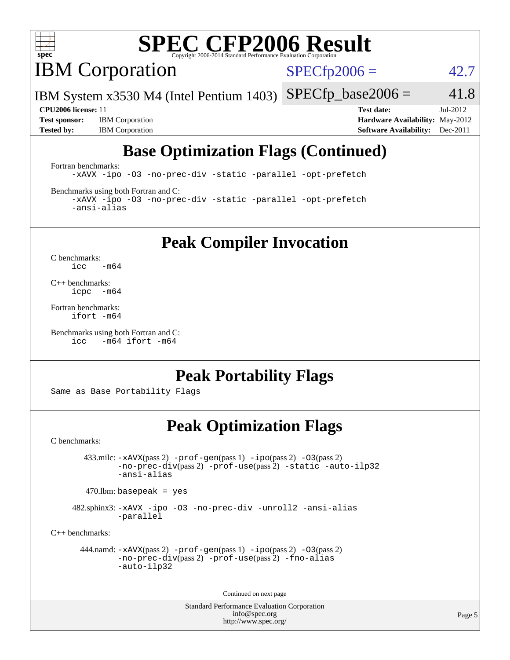

**IBM** Corporation

 $SPECfp2006 = 42.7$  $SPECfp2006 = 42.7$ 

IBM System x3530 M4 (Intel Pentium 1403)  $SPECTp\_base2006 = 41.8$ 

**[Test sponsor:](http://www.spec.org/auto/cpu2006/Docs/result-fields.html#Testsponsor)** IBM Corporation **[Hardware Availability:](http://www.spec.org/auto/cpu2006/Docs/result-fields.html#HardwareAvailability)** May-2012

**[CPU2006 license:](http://www.spec.org/auto/cpu2006/Docs/result-fields.html#CPU2006license)** 11 **[Test date:](http://www.spec.org/auto/cpu2006/Docs/result-fields.html#Testdate)** Jul-2012 **[Tested by:](http://www.spec.org/auto/cpu2006/Docs/result-fields.html#Testedby)** IBM Corporation **[Software Availability:](http://www.spec.org/auto/cpu2006/Docs/result-fields.html#SoftwareAvailability)** Dec-2011

## **[Base Optimization Flags \(Continued\)](http://www.spec.org/auto/cpu2006/Docs/result-fields.html#BaseOptimizationFlags)**

[Fortran benchmarks](http://www.spec.org/auto/cpu2006/Docs/result-fields.html#Fortranbenchmarks):

[-xAVX](http://www.spec.org/cpu2006/results/res2012q3/cpu2006-20120806-24049.flags.html#user_FCbase_f-xAVX) [-ipo](http://www.spec.org/cpu2006/results/res2012q3/cpu2006-20120806-24049.flags.html#user_FCbase_f-ipo) [-O3](http://www.spec.org/cpu2006/results/res2012q3/cpu2006-20120806-24049.flags.html#user_FCbase_f-O3) [-no-prec-div](http://www.spec.org/cpu2006/results/res2012q3/cpu2006-20120806-24049.flags.html#user_FCbase_f-no-prec-div) [-static](http://www.spec.org/cpu2006/results/res2012q3/cpu2006-20120806-24049.flags.html#user_FCbase_f-static) [-parallel](http://www.spec.org/cpu2006/results/res2012q3/cpu2006-20120806-24049.flags.html#user_FCbase_f-parallel) [-opt-prefetch](http://www.spec.org/cpu2006/results/res2012q3/cpu2006-20120806-24049.flags.html#user_FCbase_f-opt-prefetch)

[Benchmarks using both Fortran and C](http://www.spec.org/auto/cpu2006/Docs/result-fields.html#BenchmarksusingbothFortranandC):

[-xAVX](http://www.spec.org/cpu2006/results/res2012q3/cpu2006-20120806-24049.flags.html#user_CC_FCbase_f-xAVX) [-ipo](http://www.spec.org/cpu2006/results/res2012q3/cpu2006-20120806-24049.flags.html#user_CC_FCbase_f-ipo) [-O3](http://www.spec.org/cpu2006/results/res2012q3/cpu2006-20120806-24049.flags.html#user_CC_FCbase_f-O3) [-no-prec-div](http://www.spec.org/cpu2006/results/res2012q3/cpu2006-20120806-24049.flags.html#user_CC_FCbase_f-no-prec-div) [-static](http://www.spec.org/cpu2006/results/res2012q3/cpu2006-20120806-24049.flags.html#user_CC_FCbase_f-static) [-parallel](http://www.spec.org/cpu2006/results/res2012q3/cpu2006-20120806-24049.flags.html#user_CC_FCbase_f-parallel) [-opt-prefetch](http://www.spec.org/cpu2006/results/res2012q3/cpu2006-20120806-24049.flags.html#user_CC_FCbase_f-opt-prefetch) [-ansi-alias](http://www.spec.org/cpu2006/results/res2012q3/cpu2006-20120806-24049.flags.html#user_CC_FCbase_f-ansi-alias)

**[Peak Compiler Invocation](http://www.spec.org/auto/cpu2006/Docs/result-fields.html#PeakCompilerInvocation)**

[C benchmarks](http://www.spec.org/auto/cpu2006/Docs/result-fields.html#Cbenchmarks):  $\text{icc}$  -m64

[C++ benchmarks:](http://www.spec.org/auto/cpu2006/Docs/result-fields.html#CXXbenchmarks) [icpc -m64](http://www.spec.org/cpu2006/results/res2012q3/cpu2006-20120806-24049.flags.html#user_CXXpeak_intel_icpc_64bit_bedb90c1146cab66620883ef4f41a67e)

[Fortran benchmarks](http://www.spec.org/auto/cpu2006/Docs/result-fields.html#Fortranbenchmarks): [ifort -m64](http://www.spec.org/cpu2006/results/res2012q3/cpu2006-20120806-24049.flags.html#user_FCpeak_intel_ifort_64bit_ee9d0fb25645d0210d97eb0527dcc06e)

[Benchmarks using both Fortran and C](http://www.spec.org/auto/cpu2006/Docs/result-fields.html#BenchmarksusingbothFortranandC): [icc -m64](http://www.spec.org/cpu2006/results/res2012q3/cpu2006-20120806-24049.flags.html#user_CC_FCpeak_intel_icc_64bit_0b7121f5ab7cfabee23d88897260401c) [ifort -m64](http://www.spec.org/cpu2006/results/res2012q3/cpu2006-20120806-24049.flags.html#user_CC_FCpeak_intel_ifort_64bit_ee9d0fb25645d0210d97eb0527dcc06e)

### **[Peak Portability Flags](http://www.spec.org/auto/cpu2006/Docs/result-fields.html#PeakPortabilityFlags)**

Same as Base Portability Flags

### **[Peak Optimization Flags](http://www.spec.org/auto/cpu2006/Docs/result-fields.html#PeakOptimizationFlags)**

[C benchmarks](http://www.spec.org/auto/cpu2006/Docs/result-fields.html#Cbenchmarks):

 433.milc: [-xAVX](http://www.spec.org/cpu2006/results/res2012q3/cpu2006-20120806-24049.flags.html#user_peakPASS2_CFLAGSPASS2_LDFLAGS433_milc_f-xAVX)(pass 2) [-prof-gen](http://www.spec.org/cpu2006/results/res2012q3/cpu2006-20120806-24049.flags.html#user_peakPASS1_CFLAGSPASS1_LDFLAGS433_milc_prof_gen_e43856698f6ca7b7e442dfd80e94a8fc)(pass 1) [-ipo](http://www.spec.org/cpu2006/results/res2012q3/cpu2006-20120806-24049.flags.html#user_peakPASS2_CFLAGSPASS2_LDFLAGS433_milc_f-ipo)(pass 2) [-O3](http://www.spec.org/cpu2006/results/res2012q3/cpu2006-20120806-24049.flags.html#user_peakPASS2_CFLAGSPASS2_LDFLAGS433_milc_f-O3)(pass 2) [-no-prec-div](http://www.spec.org/cpu2006/results/res2012q3/cpu2006-20120806-24049.flags.html#user_peakPASS2_CFLAGSPASS2_LDFLAGS433_milc_f-no-prec-div)(pass 2) [-prof-use](http://www.spec.org/cpu2006/results/res2012q3/cpu2006-20120806-24049.flags.html#user_peakPASS2_CFLAGSPASS2_LDFLAGS433_milc_prof_use_bccf7792157ff70d64e32fe3e1250b55)(pass 2) [-static](http://www.spec.org/cpu2006/results/res2012q3/cpu2006-20120806-24049.flags.html#user_peakOPTIMIZE433_milc_f-static) [-auto-ilp32](http://www.spec.org/cpu2006/results/res2012q3/cpu2006-20120806-24049.flags.html#user_peakCOPTIMIZE433_milc_f-auto-ilp32) [-ansi-alias](http://www.spec.org/cpu2006/results/res2012q3/cpu2006-20120806-24049.flags.html#user_peakCOPTIMIZE433_milc_f-ansi-alias)

 $470.$ lbm: basepeak = yes

 482.sphinx3: [-xAVX](http://www.spec.org/cpu2006/results/res2012q3/cpu2006-20120806-24049.flags.html#user_peakOPTIMIZE482_sphinx3_f-xAVX) [-ipo](http://www.spec.org/cpu2006/results/res2012q3/cpu2006-20120806-24049.flags.html#user_peakOPTIMIZE482_sphinx3_f-ipo) [-O3](http://www.spec.org/cpu2006/results/res2012q3/cpu2006-20120806-24049.flags.html#user_peakOPTIMIZE482_sphinx3_f-O3) [-no-prec-div](http://www.spec.org/cpu2006/results/res2012q3/cpu2006-20120806-24049.flags.html#user_peakOPTIMIZE482_sphinx3_f-no-prec-div) [-unroll2](http://www.spec.org/cpu2006/results/res2012q3/cpu2006-20120806-24049.flags.html#user_peakCOPTIMIZE482_sphinx3_f-unroll_784dae83bebfb236979b41d2422d7ec2) [-ansi-alias](http://www.spec.org/cpu2006/results/res2012q3/cpu2006-20120806-24049.flags.html#user_peakCOPTIMIZE482_sphinx3_f-ansi-alias) [-parallel](http://www.spec.org/cpu2006/results/res2012q3/cpu2006-20120806-24049.flags.html#user_peakCOPTIMIZE482_sphinx3_f-parallel)

[C++ benchmarks:](http://www.spec.org/auto/cpu2006/Docs/result-fields.html#CXXbenchmarks)

```
 444.namd: -xAVX(pass 2) -prof-gen(pass 1) -ipo(pass 2) -O3(pass 2)
         -no-prec-div(pass 2) -prof-use(pass 2) -fno-alias
         -auto-ilp32
```
Continued on next page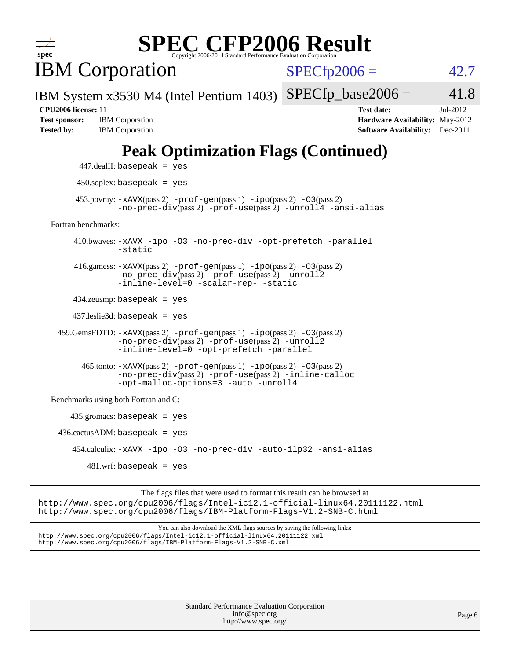

IBM Corporation

 $SPECTp2006 = 42.7$ 

IBM System x3530 M4 (Intel Pentium 1403)  $SPECTp\_base2006 = 41.8$ 

**[Test sponsor:](http://www.spec.org/auto/cpu2006/Docs/result-fields.html#Testsponsor)** IBM Corporation **[Hardware Availability:](http://www.spec.org/auto/cpu2006/Docs/result-fields.html#HardwareAvailability)** May-2012

**[CPU2006 license:](http://www.spec.org/auto/cpu2006/Docs/result-fields.html#CPU2006license)** 11 **[Test date:](http://www.spec.org/auto/cpu2006/Docs/result-fields.html#Testdate)** Jul-2012 **[Tested by:](http://www.spec.org/auto/cpu2006/Docs/result-fields.html#Testedby)** IBM Corporation **[Software Availability:](http://www.spec.org/auto/cpu2006/Docs/result-fields.html#SoftwareAvailability)** Dec-2011

## **[Peak Optimization Flags \(Continued\)](http://www.spec.org/auto/cpu2006/Docs/result-fields.html#PeakOptimizationFlags)**

```
 447.dealII: basepeak = yes
       450.soplex: basepeak = yes
     453.povray: -xAVX(pass 2) -prof-gen(pass 1) -ipo(pass 2) -03(pass 2)
               -no-prec-div(pass 2) -prof-use(pass 2) -unroll4 -ansi-alias
Fortran benchmarks: 
      410.bwaves: -xAVX -ipo -O3 -no-prec-div -opt-prefetch -parallel
               -static
      416.gamess: -xAVX(pass 2) -prof-gen(pass 1) -ipo(pass 2) -O3(pass 2)
               -no-prec-div(pass 2) -prof-use(pass 2) -unroll2
               -inline-level=0 -scalar-rep- -static
      434.zeusmp: basepeak = yes
      437.leslie3d: basepeak = yes
  459.GemsFDTD: -xAVX(pass 2) -prof-gen(pass 1) -ipo(pass 2) -O3(pass 2)
               -no-prec-div(pass 2) -prof-use(pass 2) -unroll2
               -inline-level=0 -opt-prefetch -parallel
        465.tonto: -xAVX(pass 2) -prof-gen(pass 1) -ipo(pass 2) -O3(pass 2)
               -no-prec-div(pass 2) -prof-use(pass 2) -inline-calloc
               -opt-malloc-options=3-auto-unroll4
Benchmarks using both Fortran and C: 
     435.gromacs: basepeak = yes
 436.cactusADM:basepeak = yes 454.calculix: -xAVX -ipo -O3 -no-prec-div -auto-ilp32 -ansi-alias
        481 \text{.m}: basepeak = yes
```
The flags files that were used to format this result can be browsed at <http://www.spec.org/cpu2006/flags/Intel-ic12.1-official-linux64.20111122.html> <http://www.spec.org/cpu2006/flags/IBM-Platform-Flags-V1.2-SNB-C.html>

You can also download the XML flags sources by saving the following links: <http://www.spec.org/cpu2006/flags/Intel-ic12.1-official-linux64.20111122.xml> <http://www.spec.org/cpu2006/flags/IBM-Platform-Flags-V1.2-SNB-C.xml>